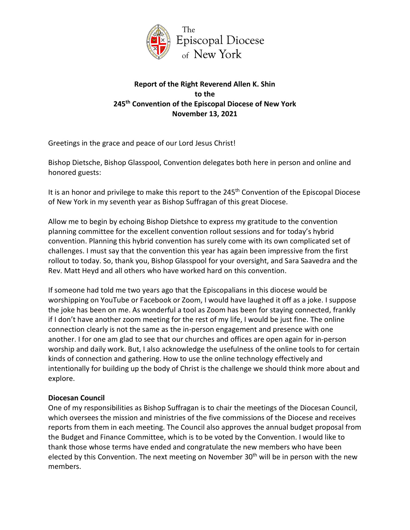

# **Report of the Right Reverend Allen K. Shin to the 245th Convention of the Episcopal Diocese of New York November 13, 2021**

Greetings in the grace and peace of our Lord Jesus Christ!

Bishop Dietsche, Bishop Glasspool, Convention delegates both here in person and online and honored guests:

It is an honor and privilege to make this report to the 245<sup>th</sup> Convention of the Episcopal Diocese of New York in my seventh year as Bishop Suffragan of this great Diocese.

Allow me to begin by echoing Bishop Dietshce to express my gratitude to the convention planning committee for the excellent convention rollout sessions and for today's hybrid convention. Planning this hybrid convention has surely come with its own complicated set of challenges. I must say that the convention this year has again been impressive from the first rollout to today. So, thank you, Bishop Glasspool for your oversight, and Sara Saavedra and the Rev. Matt Heyd and all others who have worked hard on this convention.

If someone had told me two years ago that the Episcopalians in this diocese would be worshipping on YouTube or Facebook or Zoom, I would have laughed it off as a joke. I suppose the joke has been on me. As wonderful a tool as Zoom has been for staying connected, frankly if I don't have another zoom meeting for the rest of my life, I would be just fine. The online connection clearly is not the same as the in-person engagement and presence with one another. I for one am glad to see that our churches and offices are open again for in-person worship and daily work. But, I also acknowledge the usefulness of the online tools to for certain kinds of connection and gathering. How to use the online technology effectively and intentionally for building up the body of Christ is the challenge we should think more about and explore.

### **Diocesan Council**

One of my responsibilities as Bishop Suffragan is to chair the meetings of the Diocesan Council, which oversees the mission and ministries of the five commissions of the Diocese and receives reports from them in each meeting. The Council also approves the annual budget proposal from the Budget and Finance Committee, which is to be voted by the Convention. I would like to thank those whose terms have ended and congratulate the new members who have been elected by this Convention. The next meeting on November  $30<sup>th</sup>$  will be in person with the new members.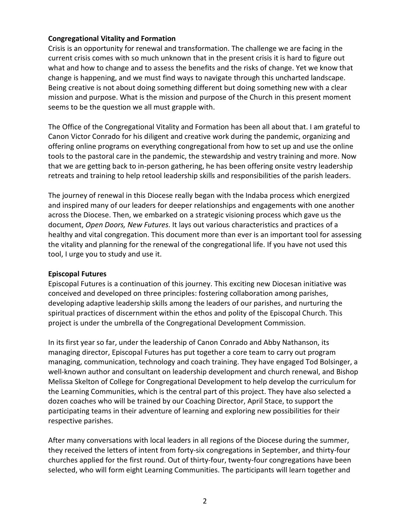#### **Congregational Vitality and Formation**

Crisis is an opportunity for renewal and transformation. The challenge we are facing in the current crisis comes with so much unknown that in the present crisis it is hard to figure out what and how to change and to assess the benefits and the risks of change. Yet we know that change is happening, and we must find ways to navigate through this uncharted landscape. Being creative is not about doing something different but doing something new with a clear mission and purpose. What is the mission and purpose of the Church in this present moment seems to be the question we all must grapple with.

The Office of the Congregational Vitality and Formation has been all about that. I am grateful to Canon Victor Conrado for his diligent and creative work during the pandemic, organizing and offering online programs on everything congregational from how to set up and use the online tools to the pastoral care in the pandemic, the stewardship and vestry training and more. Now that we are getting back to in-person gathering, he has been offering onsite vestry leadership retreats and training to help retool leadership skills and responsibilities of the parish leaders.

The journey of renewal in this Diocese really began with the Indaba process which energized and inspired many of our leaders for deeper relationships and engagements with one another across the Diocese. Then, we embarked on a strategic visioning process which gave us the document, *Open Doors, New Futures*. It lays out various characteristics and practices of a healthy and vital congregation. This document more than ever is an important tool for assessing the vitality and planning for the renewal of the congregational life. If you have not used this tool, I urge you to study and use it.

#### **Episcopal Futures**

Episcopal Futures is a continuation of this journey. This exciting new Diocesan initiative was conceived and developed on three principles: fostering collaboration among parishes, developing adaptive leadership skills among the leaders of our parishes, and nurturing the spiritual practices of discernment within the ethos and polity of the Episcopal Church. This project is under the umbrella of the Congregational Development Commission.

In its first year so far, under the leadership of Canon Conrado and Abby Nathanson, its managing director, Episcopal Futures has put together a core team to carry out program managing, communication, technology and coach training. They have engaged Tod Bolsinger, a well-known author and consultant on leadership development and church renewal, and Bishop Melissa Skelton of College for Congregational Development to help develop the curriculum for the Learning Communities, which is the central part of this project. They have also selected a dozen coaches who will be trained by our Coaching Director, April Stace, to support the participating teams in their adventure of learning and exploring new possibilities for their respective parishes.

After many conversations with local leaders in all regions of the Diocese during the summer, they received the letters of intent from forty-six congregations in September, and thirty-four churches applied for the first round. Out of thirty-four, twenty-four congregations have been selected, who will form eight Learning Communities. The participants will learn together and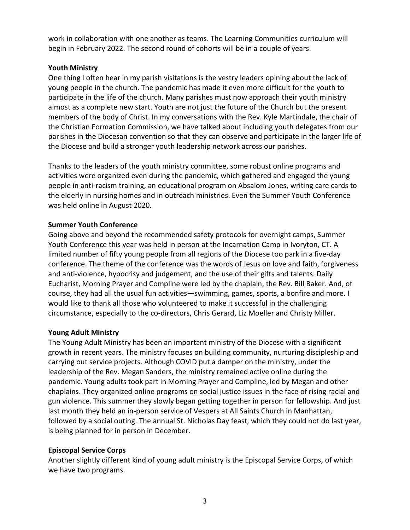work in collaboration with one another as teams. The Learning Communities curriculum will begin in February 2022. The second round of cohorts will be in a couple of years.

### **Youth Ministry**

One thing I often hear in my parish visitations is the vestry leaders opining about the lack of young people in the church. The pandemic has made it even more difficult for the youth to participate in the life of the church. Many parishes must now approach their youth ministry almost as a complete new start. Youth are not just the future of the Church but the present members of the body of Christ. In my conversations with the Rev. Kyle Martindale, the chair of the Christian Formation Commission, we have talked about including youth delegates from our parishes in the Diocesan convention so that they can observe and participate in the larger life of the Diocese and build a stronger youth leadership network across our parishes.

Thanks to the leaders of the youth ministry committee, some robust online programs and activities were organized even during the pandemic, which gathered and engaged the young people in anti-racism training, an educational program on Absalom Jones, writing care cards to the elderly in nursing homes and in outreach ministries. Even the Summer Youth Conference was held online in August 2020.

# **Summer Youth Conference**

Going above and beyond the recommended safety protocols for overnight camps, Summer Youth Conference this year was held in person at the Incarnation Camp in Ivoryton, CT. A limited number of fifty young people from all regions of the Diocese too park in a five-day conference. The theme of the conference was the words of Jesus on love and faith, forgiveness and anti-violence, hypocrisy and judgement, and the use of their gifts and talents. Daily Eucharist, Morning Prayer and Compline were led by the chaplain, the Rev. Bill Baker. And, of course, they had all the usual fun activities—swimming, games, sports, a bonfire and more. I would like to thank all those who volunteered to make it successful in the challenging circumstance, especially to the co-directors, Chris Gerard, Liz Moeller and Christy Miller.

# **Young Adult Ministry**

The Young Adult Ministry has been an important ministry of the Diocese with a significant growth in recent years. The ministry focuses on building community, nurturing discipleship and carrying out service projects. Although COVID put a damper on the ministry, under the leadership of the Rev. Megan Sanders, the ministry remained active online during the pandemic. Young adults took part in Morning Prayer and Compline, led by Megan and other chaplains. They organized online programs on social justice issues in the face of rising racial and gun violence. This summer they slowly began getting together in person for fellowship. And just last month they held an in-person service of Vespers at All Saints Church in Manhattan, followed by a social outing. The annual St. Nicholas Day feast, which they could not do last year, is being planned for in person in December.

### **Episcopal Service Corps**

Another slightly different kind of young adult ministry is the Episcopal Service Corps, of which we have two programs.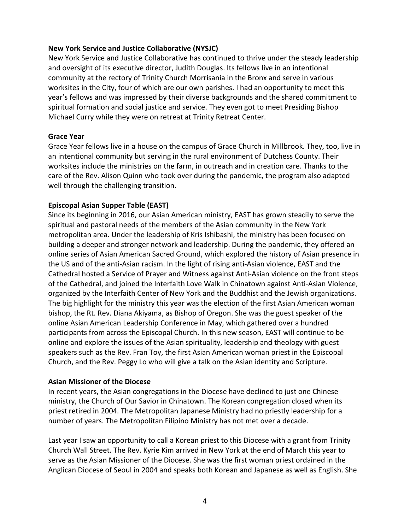#### **New York Service and Justice Collaborative (NYSJC)**

New York Service and Justice Collaborative has continued to thrive under the steady leadership and oversight of its executive director, Judith Douglas. Its fellows live in an intentional community at the rectory of Trinity Church Morrisania in the Bronx and serve in various worksites in the City, four of which are our own parishes. I had an opportunity to meet this year's fellows and was impressed by their diverse backgrounds and the shared commitment to spiritual formation and social justice and service. They even got to meet Presiding Bishop Michael Curry while they were on retreat at Trinity Retreat Center.

#### **Grace Year**

Grace Year fellows live in a house on the campus of Grace Church in Millbrook. They, too, live in an intentional community but serving in the rural environment of Dutchess County. Their worksites include the ministries on the farm, in outreach and in creation care. Thanks to the care of the Rev. Alison Quinn who took over during the pandemic, the program also adapted well through the challenging transition.

### **Episcopal Asian Supper Table (EAST)**

Since its beginning in 2016, our Asian American ministry, EAST has grown steadily to serve the spiritual and pastoral needs of the members of the Asian community in the New York metropolitan area. Under the leadership of Kris Ishibashi, the ministry has been focused on building a deeper and stronger network and leadership. During the pandemic, they offered an online series of Asian American Sacred Ground, which explored the history of Asian presence in the US and of the anti-Asian racism. In the light of rising anti-Asian violence, EAST and the Cathedral hosted a Service of Prayer and Witness against Anti-Asian violence on the front steps of the Cathedral, and joined the Interfaith Love Walk in Chinatown against Anti-Asian Violence, organized by the Interfaith Center of New York and the Buddhist and the Jewish organizations. The big highlight for the ministry this year was the election of the first Asian American woman bishop, the Rt. Rev. Diana Akiyama, as Bishop of Oregon. She was the guest speaker of the online Asian American Leadership Conference in May, which gathered over a hundred participants from across the Episcopal Church. In this new season, EAST will continue to be online and explore the issues of the Asian spirituality, leadership and theology with guest speakers such as the Rev. Fran Toy, the first Asian American woman priest in the Episcopal Church, and the Rev. Peggy Lo who will give a talk on the Asian identity and Scripture.

#### **Asian Missioner of the Diocese**

In recent years, the Asian congregations in the Diocese have declined to just one Chinese ministry, the Church of Our Savior in Chinatown. The Korean congregation closed when its priest retired in 2004. The Metropolitan Japanese Ministry had no priestly leadership for a number of years. The Metropolitan Filipino Ministry has not met over a decade.

Last year I saw an opportunity to call a Korean priest to this Diocese with a grant from Trinity Church Wall Street. The Rev. Kyrie Kim arrived in New York at the end of March this year to serve as the Asian Missioner of the Diocese. She was the first woman priest ordained in the Anglican Diocese of Seoul in 2004 and speaks both Korean and Japanese as well as English. She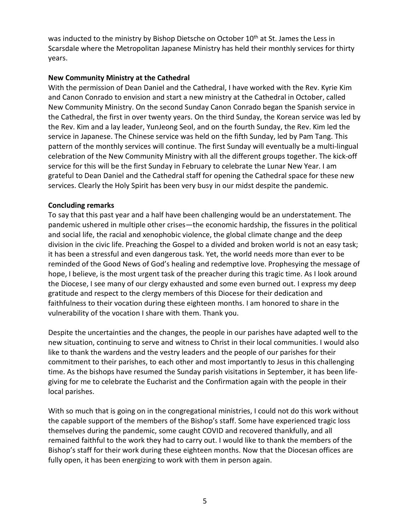was inducted to the ministry by Bishop Dietsche on October 10<sup>th</sup> at St. James the Less in Scarsdale where the Metropolitan Japanese Ministry has held their monthly services for thirty years.

### **New Community Ministry at the Cathedral**

With the permission of Dean Daniel and the Cathedral, I have worked with the Rev. Kyrie Kim and Canon Conrado to envision and start a new ministry at the Cathedral in October, called New Community Ministry. On the second Sunday Canon Conrado began the Spanish service in the Cathedral, the first in over twenty years. On the third Sunday, the Korean service was led by the Rev. Kim and a lay leader, YunJeong Seol, and on the fourth Sunday, the Rev. Kim led the service in Japanese. The Chinese service was held on the fifth Sunday, led by Pam Tang. This pattern of the monthly services will continue. The first Sunday will eventually be a multi-lingual celebration of the New Community Ministry with all the different groups together. The kick-off service for this will be the first Sunday in February to celebrate the Lunar New Year. I am grateful to Dean Daniel and the Cathedral staff for opening the Cathedral space for these new services. Clearly the Holy Spirit has been very busy in our midst despite the pandemic.

#### **Concluding remarks**

To say that this past year and a half have been challenging would be an understatement. The pandemic ushered in multiple other crises—the economic hardship, the fissures in the political and social life, the racial and xenophobic violence, the global climate change and the deep division in the civic life. Preaching the Gospel to a divided and broken world is not an easy task; it has been a stressful and even dangerous task. Yet, the world needs more than ever to be reminded of the Good News of God's healing and redemptive love. Prophesying the message of hope, I believe, is the most urgent task of the preacher during this tragic time. As I look around the Diocese, I see many of our clergy exhausted and some even burned out. I express my deep gratitude and respect to the clergy members of this Diocese for their dedication and faithfulness to their vocation during these eighteen months. I am honored to share in the vulnerability of the vocation I share with them. Thank you.

Despite the uncertainties and the changes, the people in our parishes have adapted well to the new situation, continuing to serve and witness to Christ in their local communities. I would also like to thank the wardens and the vestry leaders and the people of our parishes for their commitment to their parishes, to each other and most importantly to Jesus in this challenging time. As the bishops have resumed the Sunday parish visitations in September, it has been lifegiving for me to celebrate the Eucharist and the Confirmation again with the people in their local parishes.

With so much that is going on in the congregational ministries, I could not do this work without the capable support of the members of the Bishop's staff. Some have experienced tragic loss themselves during the pandemic, some caught COVID and recovered thankfully, and all remained faithful to the work they had to carry out. I would like to thank the members of the Bishop's staff for their work during these eighteen months. Now that the Diocesan offices are fully open, it has been energizing to work with them in person again.